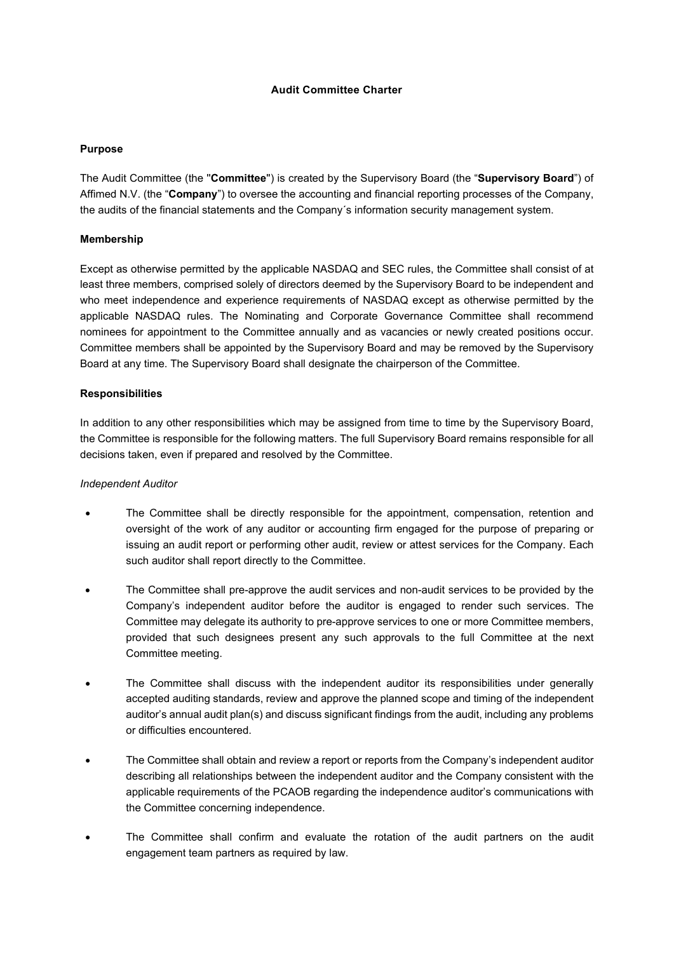#### **Audit Committee Charter**

### **Purpose**

The Audit Committee (the ''**Committee**'') is created by the Supervisory Board (the "**Supervisory Board**") of Affimed N.V. (the "**Company**") to oversee the accounting and financial reporting processes of the Company, the audits of the financial statements and the Company´s information security management system.

## **Membership**

Except as otherwise permitted by the applicable NASDAQ and SEC rules, the Committee shall consist of at least three members, comprised solely of directors deemed by the Supervisory Board to be independent and who meet independence and experience requirements of NASDAQ except as otherwise permitted by the applicable NASDAQ rules. The Nominating and Corporate Governance Committee shall recommend nominees for appointment to the Committee annually and as vacancies or newly created positions occur. Committee members shall be appointed by the Supervisory Board and may be removed by the Supervisory Board at any time. The Supervisory Board shall designate the chairperson of the Committee.

## **Responsibilities**

In addition to any other responsibilities which may be assigned from time to time by the Supervisory Board, the Committee is responsible for the following matters. The full Supervisory Board remains responsible for all decisions taken, even if prepared and resolved by the Committee.

#### *Independent Auditor*

- The Committee shall be directly responsible for the appointment, compensation, retention and oversight of the work of any auditor or accounting firm engaged for the purpose of preparing or issuing an audit report or performing other audit, review or attest services for the Company. Each such auditor shall report directly to the Committee.
- The Committee shall pre-approve the audit services and non-audit services to be provided by the Company's independent auditor before the auditor is engaged to render such services. The Committee may delegate its authority to pre-approve services to one or more Committee members, provided that such designees present any such approvals to the full Committee at the next Committee meeting.
- The Committee shall discuss with the independent auditor its responsibilities under generally accepted auditing standards, review and approve the planned scope and timing of the independent auditor's annual audit plan(s) and discuss significant findings from the audit, including any problems or difficulties encountered.
- The Committee shall obtain and review a report or reports from the Company's independent auditor describing all relationships between the independent auditor and the Company consistent with the applicable requirements of the PCAOB regarding the independence auditor's communications with the Committee concerning independence.
- The Committee shall confirm and evaluate the rotation of the audit partners on the audit engagement team partners as required by law.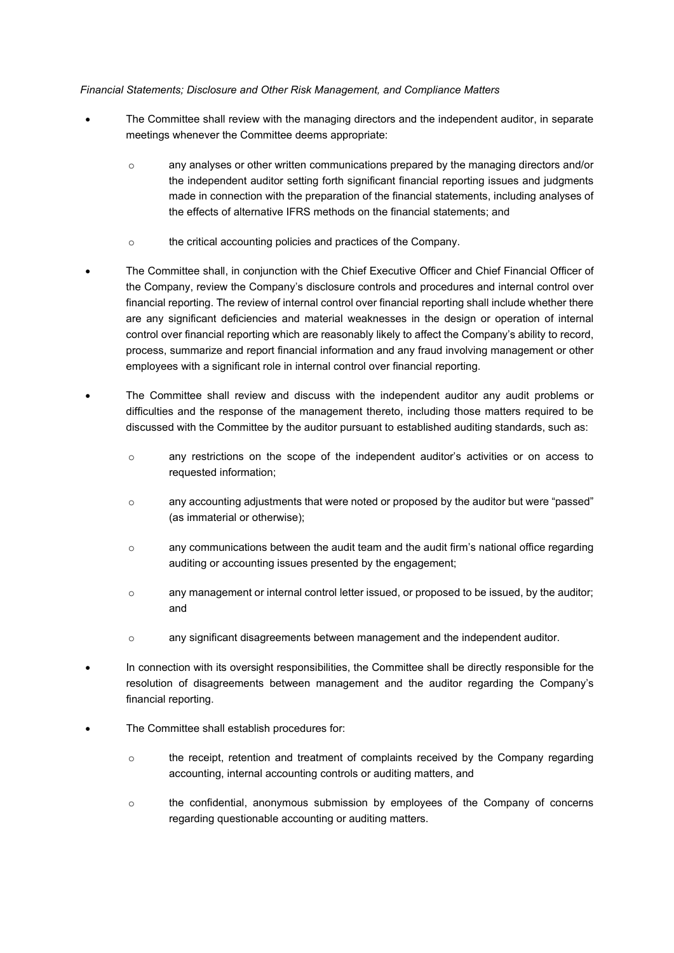### *Financial Statements; Disclosure and Other Risk Management, and Compliance Matters*

- The Committee shall review with the managing directors and the independent auditor, in separate meetings whenever the Committee deems appropriate:
	- o any analyses or other written communications prepared by the managing directors and/or the independent auditor setting forth significant financial reporting issues and judgments made in connection with the preparation of the financial statements, including analyses of the effects of alternative IFRS methods on the financial statements; and
	- o the critical accounting policies and practices of the Company.
- The Committee shall, in conjunction with the Chief Executive Officer and Chief Financial Officer of the Company, review the Company's disclosure controls and procedures and internal control over financial reporting. The review of internal control over financial reporting shall include whether there are any significant deficiencies and material weaknesses in the design or operation of internal control over financial reporting which are reasonably likely to affect the Company's ability to record, process, summarize and report financial information and any fraud involving management or other employees with a significant role in internal control over financial reporting.
- The Committee shall review and discuss with the independent auditor any audit problems or difficulties and the response of the management thereto, including those matters required to be discussed with the Committee by the auditor pursuant to established auditing standards, such as:
	- o any restrictions on the scope of the independent auditor's activities or on access to requested information;
	- o any accounting adjustments that were noted or proposed by the auditor but were "passed" (as immaterial or otherwise);
	- $\circ$  any communications between the audit team and the audit firm's national office regarding auditing or accounting issues presented by the engagement;
	- $\circ$  any management or internal control letter issued, or proposed to be issued, by the auditor; and
	- o any significant disagreements between management and the independent auditor.
- In connection with its oversight responsibilities, the Committee shall be directly responsible for the resolution of disagreements between management and the auditor regarding the Company's financial reporting.
- The Committee shall establish procedures for:
	- o the receipt, retention and treatment of complaints received by the Company regarding accounting, internal accounting controls or auditing matters, and
	- $\circ$  the confidential, anonymous submission by employees of the Company of concerns regarding questionable accounting or auditing matters.